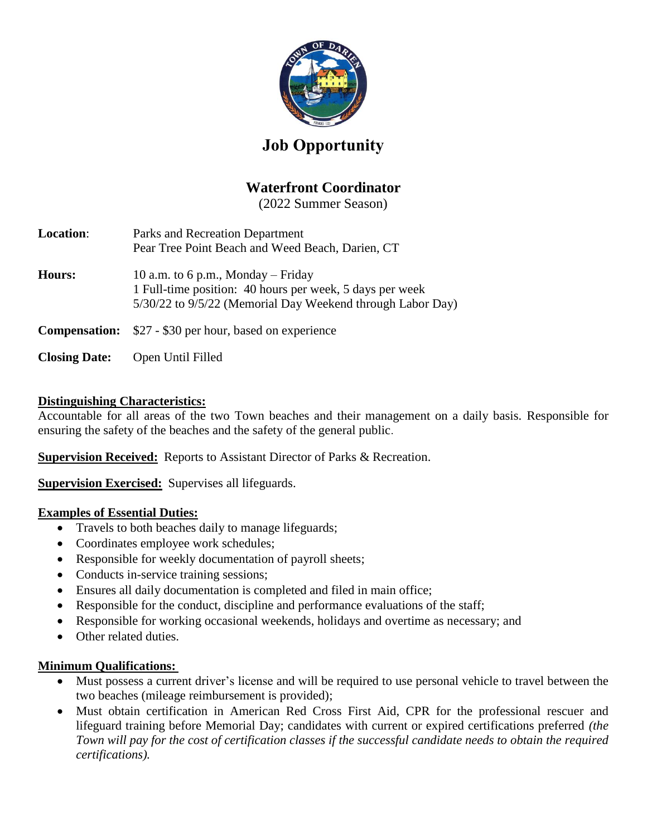

# **Job Opportunity**

# **Waterfront Coordinator**

(2022 Summer Season)

| <b>Location:</b>     | Parks and Recreation Department<br>Pear Tree Point Beach and Weed Beach, Darien, CT                                                                          |
|----------------------|--------------------------------------------------------------------------------------------------------------------------------------------------------------|
| Hours:               | 10 a.m. to 6 p.m., Monday – Friday<br>1 Full-time position: 40 hours per week, 5 days per week<br>5/30/22 to 9/5/22 (Memorial Day Weekend through Labor Day) |
|                      | <b>Compensation:</b> \$27 - \$30 per hour, based on experience                                                                                               |
| <b>Closing Date:</b> | Open Until Filled                                                                                                                                            |

### **Distinguishing Characteristics:**

Accountable for all areas of the two Town beaches and their management on a daily basis. Responsible for ensuring the safety of the beaches and the safety of the general public.

**Supervision Received:** Reports to Assistant Director of Parks & Recreation.

**Supervision Exercised:** Supervises all lifeguards.

#### **Examples of Essential Duties:**

- Travels to both beaches daily to manage lifeguards;
- Coordinates employee work schedules;
- Responsible for weekly documentation of payroll sheets;
- Conducts in-service training sessions;
- Ensures all daily documentation is completed and filed in main office;
- Responsible for the conduct, discipline and performance evaluations of the staff;
- Responsible for working occasional weekends, holidays and overtime as necessary; and
- Other related duties

## **Minimum Qualifications:**

- Must possess a current driver's license and will be required to use personal vehicle to travel between the two beaches (mileage reimbursement is provided);
- Must obtain certification in American Red Cross First Aid, CPR for the professional rescuer and lifeguard training before Memorial Day; candidates with current or expired certifications preferred *(the Town will pay for the cost of certification classes if the successful candidate needs to obtain the required certifications).*